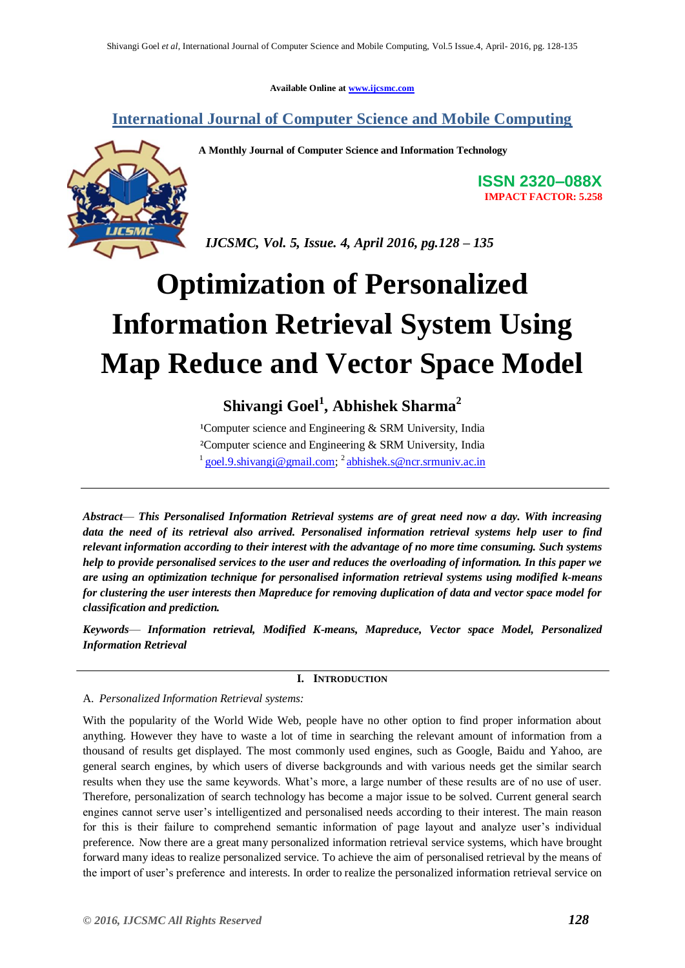**Available Online at www.ijcsmc.com**

**International Journal of Computer Science and Mobile Computing**



**A Monthly Journal of Computer Science and Information Technology**

**ISSN 2320–088X IMPACT FACTOR: 5.258**

 *IJCSMC, Vol. 5, Issue. 4, April 2016, pg.128 – 135*

# **Optimization of Personalized Information Retrieval System Using Map Reduce and Vector Space Model**

# **Shivangi Goel<sup>1</sup> , Abhishek Sharma<sup>2</sup>**

<sup>1</sup>Computer science and Engineering  $&$  SRM University, India ²Computer science and Engineering & SRM University, India <sup>1</sup> goel.9.shivangi@gmail.com; <sup>2</sup> abhishek.s@ncr.srmuniv.ac.in

*Abstract*— *This Personalised Information Retrieval systems are of great need now a day. With increasing data the need of its retrieval also arrived. Personalised information retrieval systems help user to find relevant information according to their interest with the advantage of no more time consuming. Such systems help to provide personalised services to the user and reduces the overloading of information. In this paper we are using an optimization technique for personalised information retrieval systems using modified k-means for clustering the user interests then Mapreduce for removing duplication of data and vector space model for classification and prediction.*

*Keywords*— *Information retrieval, Modified K-means, Mapreduce, Vector space Model, Personalized Information Retrieval*

# **I. INTRODUCTION**

A. *Personalized Information Retrieval systems:*

With the popularity of the World Wide Web, people have no other option to find proper information about anything. However they have to waste a lot of time in searching the relevant amount of information from a thousand of results get displayed. The most commonly used engines, such as Google, Baidu and Yahoo, are general search engines, by which users of diverse backgrounds and with various needs get the similar search results when they use the same keywords. What's more, a large number of these results are of no use of user. Therefore, personalization of search technology has become a major issue to be solved. Current general search engines cannot serve user's intelligentized and personalised needs according to their interest. The main reason for this is their failure to comprehend semantic information of page layout and analyze user's individual preference. Now there are a great many personalized information retrieval service systems, which have brought forward many ideas to realize personalized service. To achieve the aim of personalised retrieval by the means of the import of user's preference and interests. In order to realize the personalized information retrieval service on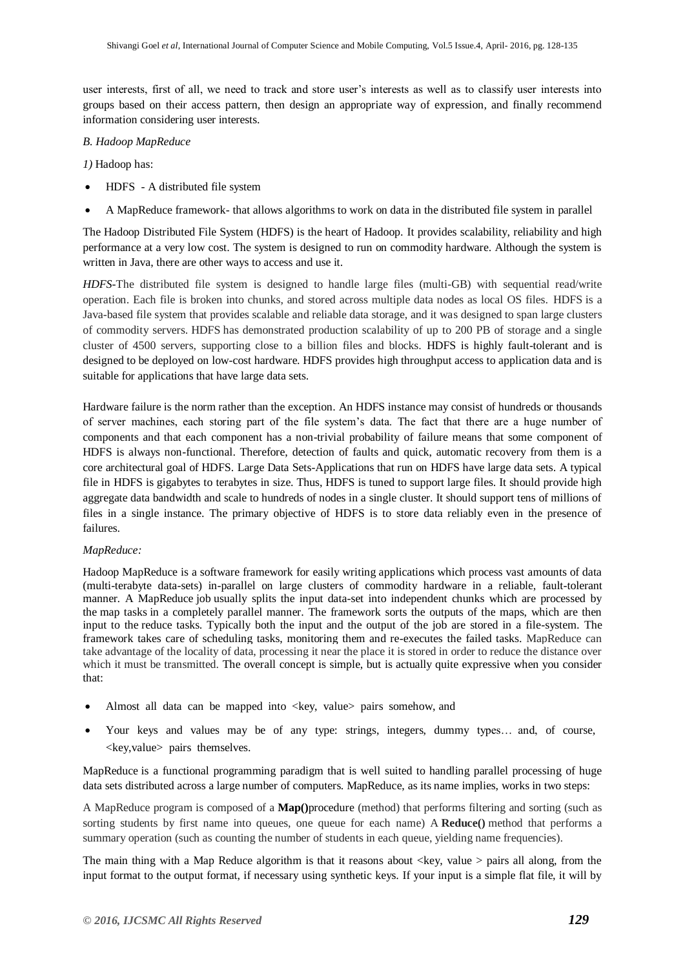user interests, first of all, we need to track and store user's interests as well as to classify user interests into groups based on their access pattern, then design an appropriate way of expression, and finally recommend information considering user interests.

#### *B. Hadoop MapReduce*

*1)* Hadoop has:

- HDFS A distributed file system
- A MapReduce framework- that allows algorithms to work on data in the distributed file system in parallel

The Hadoop Distributed File System (HDFS) is the heart of Hadoop. It provides scalability, reliability and high performance at a very low cost. The system is designed to run on commodity hardware. Although the system is written in Java, there are other ways to access and use it.

*HDFS-*The distributed file system is designed to handle large files (multi-GB) with sequential read/write operation. Each file is broken into chunks, and stored across multiple data nodes as local OS files. HDFS is a Java-based file system that provides scalable and reliable data storage, and it was designed to span large clusters of commodity servers. HDFS has demonstrated production scalability of up to 200 PB of storage and a single cluster of 4500 servers, supporting close to a billion files and blocks. HDFS is highly fault-tolerant and is designed to be deployed on low-cost hardware. HDFS provides high throughput access to application data and is suitable for applications that have large data sets.

Hardware failure is the norm rather than the exception. An HDFS instance may consist of hundreds or thousands of server machines, each storing part of the file system's data. The fact that there are a huge number of components and that each component has a non-trivial probability of failure means that some component of HDFS is always non-functional. Therefore, detection of faults and quick, automatic recovery from them is a core architectural goal of HDFS. Large Data Sets-Applications that run on HDFS have large data sets. A typical file in HDFS is gigabytes to terabytes in size. Thus, HDFS is tuned to support large files. It should provide high aggregate data bandwidth and scale to hundreds of nodes in a single cluster. It should support tens of millions of files in a single instance. The primary objective of HDFS is to store data reliably even in the presence of failures.

#### *MapReduce:*

Hadoop MapReduce is a software framework for easily writing applications which process vast amounts of data (multi-terabyte data-sets) in-parallel on large clusters of commodity hardware in a reliable, fault-tolerant manner. A MapReduce job usually splits the input data-set into independent chunks which are processed by the map tasks in a completely parallel manner. The framework sorts the outputs of the maps, which are then input to the reduce tasks. Typically both the input and the output of the job are stored in a file-system. The framework takes care of scheduling tasks, monitoring them and re-executes the failed tasks. MapReduce can take advantage of the locality of data, processing it near the place it is stored in order to reduce the distance over which it must be transmitted. The overall concept is simple, but is actually quite expressive when you consider that:

- Almost all data can be mapped into <key, value> pairs somehow, and
- Your keys and values may be of any type: strings, integers, dummy types… and, of course, <key,value> pairs themselves.

MapReduce is a functional programming paradigm that is well suited to handling parallel processing of huge data sets distributed across a large number of computers. MapReduce, as its name implies, works in two steps:

A MapReduce program is composed of a **Map()**procedure (method) that performs filtering and sorting (such as sorting students by first name into queues, one queue for each name) A **Reduce()** method that performs a summary operation (such as counting the number of students in each queue, yielding name frequencies).

The main thing with a Map Reduce algorithm is that it reasons about  $\langle key, value \rangle$  pairs all along, from the input format to the output format, if necessary using synthetic keys. If your input is a simple flat file, it will by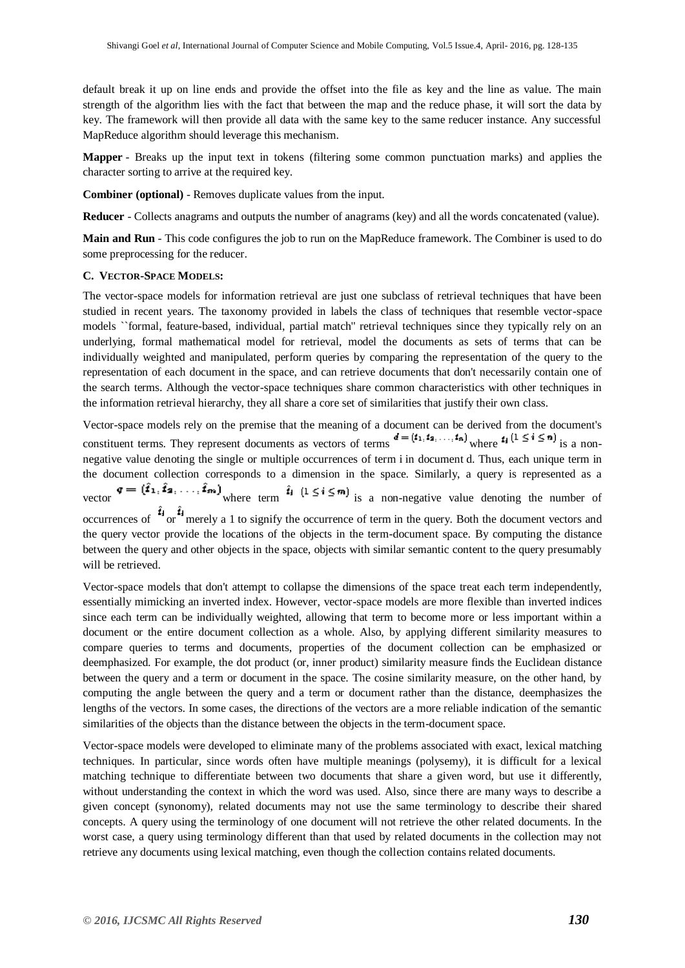default break it up on line ends and provide the offset into the file as key and the line as value. The main strength of the algorithm lies with the fact that between the map and the reduce phase, it will sort the data by key. The framework will then provide all data with the same key to the same reducer instance. Any successful MapReduce algorithm should leverage this mechanism.

**Mapper** - Breaks up the input text in tokens (filtering some common punctuation marks) and applies the character sorting to arrive at the required key.

**Combiner (optional)** - Removes duplicate values from the input.

**Reducer** - Collects anagrams and outputs the number of anagrams (key) and all the words concatenated (value).

**Main and Run** - This code configures the job to run on the MapReduce framework. The Combiner is used to do some preprocessing for the reducer.

#### **C. VECTOR-SPACE MODELS:**

The vector-space models for information retrieval are just one subclass of retrieval techniques that have been studied in recent years. The taxonomy provided in labels the class of techniques that resemble vector-space models ``formal, feature-based, individual, partial match'' retrieval techniques since they typically rely on an underlying, formal mathematical model for retrieval, model the documents as sets of terms that can be individually weighted and manipulated, perform queries by comparing the representation of the query to the representation of each document in the space, and can retrieve documents that don't necessarily contain one of the search terms. Although the vector-space techniques share common characteristics with other techniques in the information retrieval hierarchy, they all share a core set of similarities that justify their own class.

Vector-space models rely on the premise that the meaning of a document can be derived from the document's constituent terms. They represent documents as vectors of terms  $d = (t_1, t_2, ..., t_n)$  where  $t_i$   $(1 \le i \le n)$  is a nonnegative value denoting the single or multiple occurrences of term i in document d. Thus, each unique term in the document collection corresponds to a dimension in the space. Similarly, a query is represented as a vector  $\mathbf{v} = (\hat{\mathbf{i}}_1, \hat{\mathbf{i}}_2, \dots, \hat{\mathbf{i}}_m)$  where term  $\hat{\mathbf{i}}_1$   $(1 \leq \mathbf{i} \leq \mathbf{m})$  is a non-negative value denoting the number of occurrences of  $\hat{i}_j$  or  $\hat{i}_j$  merely a 1 to signify the occurrence of term in the query. Both the document vectors and the query vector provide the locations of the objects in the term-document space. By computing the distance between the query and other objects in the space, objects with similar semantic content to the query presumably will be retrieved.

Vector-space models that don't attempt to collapse the dimensions of the space treat each term independently, essentially mimicking an inverted index. However, vector-space models are more flexible than inverted indices since each term can be individually weighted, allowing that term to become more or less important within a document or the entire document collection as a whole. Also, by applying different similarity measures to compare queries to terms and documents, properties of the document collection can be emphasized or deemphasized. For example, the dot product (or, inner product) similarity measure finds the Euclidean distance between the query and a term or document in the space. The cosine similarity measure, on the other hand, by computing the angle between the query and a term or document rather than the distance, deemphasizes the lengths of the vectors. In some cases, the directions of the vectors are a more reliable indication of the semantic similarities of the objects than the distance between the objects in the term-document space.

Vector-space models were developed to eliminate many of the problems associated with exact, lexical matching techniques. In particular, since words often have multiple meanings (polysemy), it is difficult for a lexical matching technique to differentiate between two documents that share a given word, but use it differently, without understanding the context in which the word was used. Also, since there are many ways to describe a given concept (synonomy), related documents may not use the same terminology to describe their shared concepts. A query using the terminology of one document will not retrieve the other related documents. In the worst case, a query using terminology different than that used by related documents in the collection may not retrieve any documents using lexical matching, even though the collection contains related documents.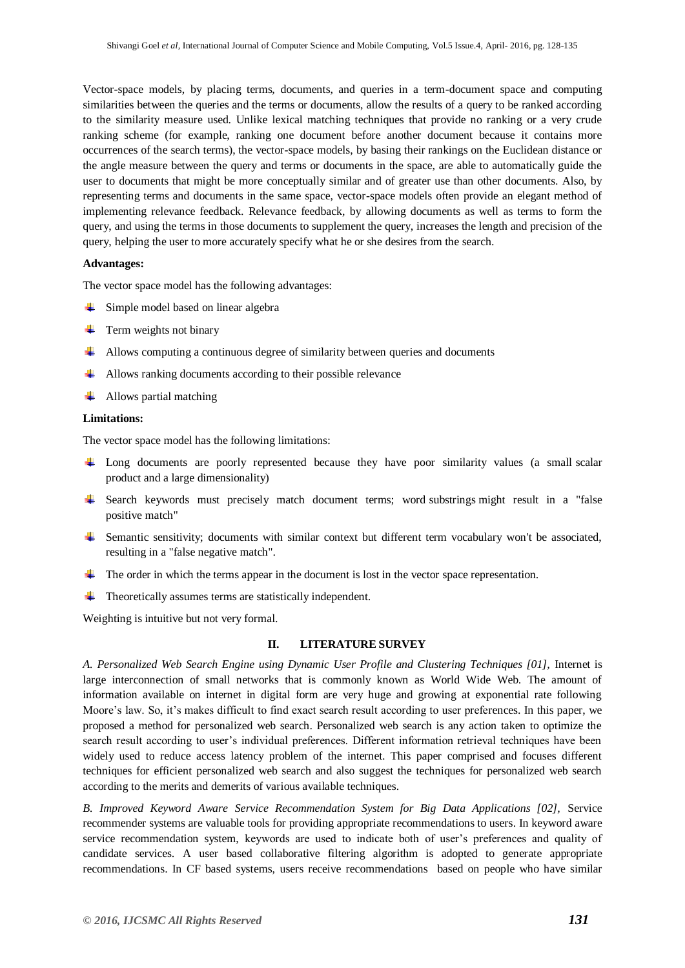Vector-space models, by placing terms, documents, and queries in a term-document space and computing similarities between the queries and the terms or documents, allow the results of a query to be ranked according to the similarity measure used. Unlike lexical matching techniques that provide no ranking or a very crude ranking scheme (for example, ranking one document before another document because it contains more occurrences of the search terms), the vector-space models, by basing their rankings on the Euclidean distance or the angle measure between the query and terms or documents in the space, are able to automatically guide the user to documents that might be more conceptually similar and of greater use than other documents. Also, by representing terms and documents in the same space, vector-space models often provide an elegant method of implementing relevance feedback. Relevance feedback, by allowing documents as well as terms to form the query, and using the terms in those documents to supplement the query, increases the length and precision of the query, helping the user to more accurately specify what he or she desires from the search.

#### **Advantages:**

The vector space model has the following advantages:

- **↓** Simple model based on linear algebra
- $\leftarrow$  Term weights not binary
- Allows computing a continuous degree of similarity between queries and documents
- $\overline{\phantom{a}}$  Allows ranking documents according to their possible relevance
- $\downarrow$  Allows partial matching

#### **Limitations:**

The vector space model has the following limitations:

- <sup> $\pm$ </sup> Long documents are poorly represented because they have poor similarity values (a small scalar product and a large dimensionality)
- Search keywords must precisely match document terms; word substrings might result in a "false" positive match"
- Semantic sensitivity; documents with similar context but different term vocabulary won't be associated, resulting in a "false negative match".
- $\pm$  The order in which the terms appear in the document is lost in the vector space representation.
- $\overline{\phantom{a}}$  Theoretically assumes terms are statistically independent.

Weighting is intuitive but not very formal.

#### **II. LITERATURE SURVEY**

*A. Personalized Web Search Engine using Dynamic User Profile and Clustering Techniques [01],* Internet is large interconnection of small networks that is commonly known as World Wide Web. The amount of information available on internet in digital form are very huge and growing at exponential rate following Moore's law. So, it's makes difficult to find exact search result according to user preferences. In this paper, we proposed a method for personalized web search. Personalized web search is any action taken to optimize the search result according to user's individual preferences. Different information retrieval techniques have been widely used to reduce access latency problem of the internet. This paper comprised and focuses different techniques for efficient personalized web search and also suggest the techniques for personalized web search according to the merits and demerits of various available techniques.

*B. Improved Keyword Aware Service Recommendation System for Big Data Applications [02],* Service recommender systems are valuable tools for providing appropriate recommendations to users. In keyword aware service recommendation system, keywords are used to indicate both of user's preferences and quality of candidate services. A user based collaborative filtering algorithm is adopted to generate appropriate recommendations. In CF based systems, users receive recommendations based on people who have similar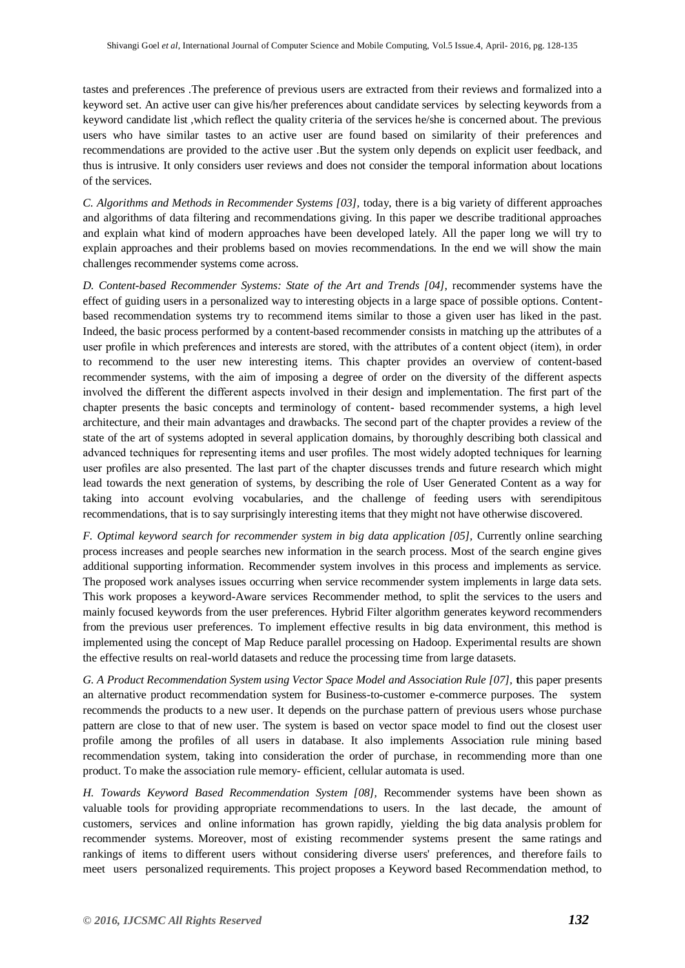tastes and preferences .The preference of previous users are extracted from their reviews and formalized into a keyword set. An active user can give his/her preferences about candidate services by selecting keywords from a keyword candidate list ,which reflect the quality criteria of the services he/she is concerned about. The previous users who have similar tastes to an active user are found based on similarity of their preferences and recommendations are provided to the active user .But the system only depends on explicit user feedback, and thus is intrusive. It only considers user reviews and does not consider the temporal information about locations of the services.

*C. Algorithms and Methods in Recommender Systems [03],* today, there is a big variety of different approaches and algorithms of data filtering and recommendations giving. In this paper we describe traditional approaches and explain what kind of modern approaches have been developed lately. All the paper long we will try to explain approaches and their problems based on movies recommendations. In the end we will show the main challenges recommender systems come across.

*D. Content-based Recommender Systems: State of the Art and Trends [04],* recommender systems have the effect of guiding users in a personalized way to interesting objects in a large space of possible options. Contentbased recommendation systems try to recommend items similar to those a given user has liked in the past. Indeed, the basic process performed by a content-based recommender consists in matching up the attributes of a user profile in which preferences and interests are stored, with the attributes of a content object (item), in order to recommend to the user new interesting items. This chapter provides an overview of content-based recommender systems, with the aim of imposing a degree of order on the diversity of the different aspects involved the different the different aspects involved in their design and implementation. The first part of the chapter presents the basic concepts and terminology of content- based recommender systems, a high level architecture, and their main advantages and drawbacks. The second part of the chapter provides a review of the state of the art of systems adopted in several application domains, by thoroughly describing both classical and advanced techniques for representing items and user profiles. The most widely adopted techniques for learning user profiles are also presented. The last part of the chapter discusses trends and future research which might lead towards the next generation of systems, by describing the role of User Generated Content as a way for taking into account evolving vocabularies, and the challenge of feeding users with serendipitous recommendations, that is to say surprisingly interesting items that they might not have otherwise discovered.

*F. Optimal keyword search for recommender system in big data application [05],* Currently online searching process increases and people searches new information in the search process. Most of the search engine gives additional supporting information. Recommender system involves in this process and implements as service. The proposed work analyses issues occurring when service recommender system implements in large data sets. This work proposes a keyword-Aware services Recommender method, to split the services to the users and mainly focused keywords from the user preferences. Hybrid Filter algorithm generates keyword recommenders from the previous user preferences. To implement effective results in big data environment, this method is implemented using the concept of Map Reduce parallel processing on Hadoop. Experimental results are shown the effective results on real-world datasets and reduce the processing time from large datasets.

*G. A Product Recommendation System using Vector Space Model and Association Rule [07],* **t**his paper presents an alternative product recommendation system for Business-to-customer e-commerce purposes. The system recommends the products to a new user. It depends on the purchase pattern of previous users whose purchase pattern are close to that of new user. The system is based on vector space model to find out the closest user profile among the profiles of all users in database. It also implements Association rule mining based recommendation system, taking into consideration the order of purchase, in recommending more than one product. To make the association rule memory- efficient, cellular automata is used.

*H. Towards Keyword Based Recommendation System [08],* Recommender systems have been shown as valuable tools for providing appropriate recommendations to users. In the last decade, the amount of customers, services and online information has grown rapidly, yielding the big data analysis problem for recommender systems. Moreover, most of existing recommender systems present the same ratings and rankings of items to different users without considering diverse users' preferences, and therefore fails to meet users personalized requirements. This project proposes a Keyword based Recommendation method, to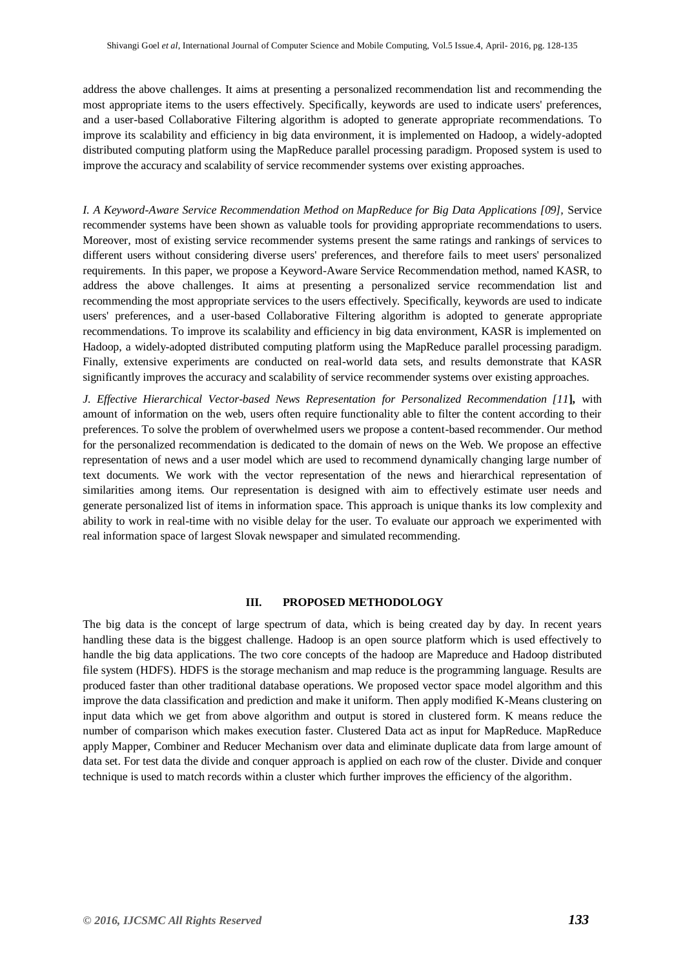address the above challenges. It aims at presenting a personalized recommendation list and recommending the most appropriate items to the users effectively. Specifically, keywords are used to indicate users' preferences, and a user-based Collaborative Filtering algorithm is adopted to generate appropriate recommendations. To improve its scalability and efficiency in big data environment, it is implemented on Hadoop, a widely-adopted distributed computing platform using the MapReduce parallel processing paradigm. Proposed system is used to improve the accuracy and scalability of service recommender systems over existing approaches.

*I. A Keyword-Aware Service Recommendation Method on MapReduce for Big Data Applications [09],* Service recommender systems have been shown as valuable tools for providing appropriate recommendations to users. Moreover, most of existing service recommender systems present the same ratings and rankings of services to different users without considering diverse users' preferences, and therefore fails to meet users' personalized requirements. In this paper, we propose a Keyword-Aware Service Recommendation method, named KASR, to address the above challenges. It aims at presenting a personalized service recommendation list and recommending the most appropriate services to the users effectively. Specifically, keywords are used to indicate users' preferences, and a user-based Collaborative Filtering algorithm is adopted to generate appropriate recommendations. To improve its scalability and efficiency in big data environment, KASR is implemented on Hadoop, a widely-adopted distributed computing platform using the MapReduce parallel processing paradigm. Finally, extensive experiments are conducted on real-world data sets, and results demonstrate that KASR significantly improves the accuracy and scalability of service recommender systems over existing approaches.

*J. Effective Hierarchical Vector-based News Representation for Personalized Recommendation [11***],** with amount of information on the web, users often require functionality able to filter the content according to their preferences. To solve the problem of overwhelmed users we propose a content-based recommender. Our method for the personalized recommendation is dedicated to the domain of news on the Web. We propose an effective representation of news and a user model which are used to recommend dynamically changing large number of text documents. We work with the vector representation of the news and hierarchical representation of similarities among items. Our representation is designed with aim to effectively estimate user needs and generate personalized list of items in information space. This approach is unique thanks its low complexity and ability to work in real-time with no visible delay for the user. To evaluate our approach we experimented with real information space of largest Slovak newspaper and simulated recommending.

#### **III. PROPOSED METHODOLOGY**

The big data is the concept of large spectrum of data, which is being created day by day. In recent years handling these data is the biggest challenge. Hadoop is an open source platform which is used effectively to handle the big data applications. The two core concepts of the hadoop are Mapreduce and Hadoop distributed file system (HDFS). HDFS is the storage mechanism and map reduce is the programming language. Results are produced faster than other traditional database operations. We proposed vector space model algorithm and this improve the data classification and prediction and make it uniform. Then apply modified K-Means clustering on input data which we get from above algorithm and output is stored in clustered form. K means reduce the number of comparison which makes execution faster. Clustered Data act as input for MapReduce. MapReduce apply Mapper, Combiner and Reducer Mechanism over data and eliminate duplicate data from large amount of data set. For test data the divide and conquer approach is applied on each row of the cluster. Divide and conquer technique is used to match records within a cluster which further improves the efficiency of the algorithm.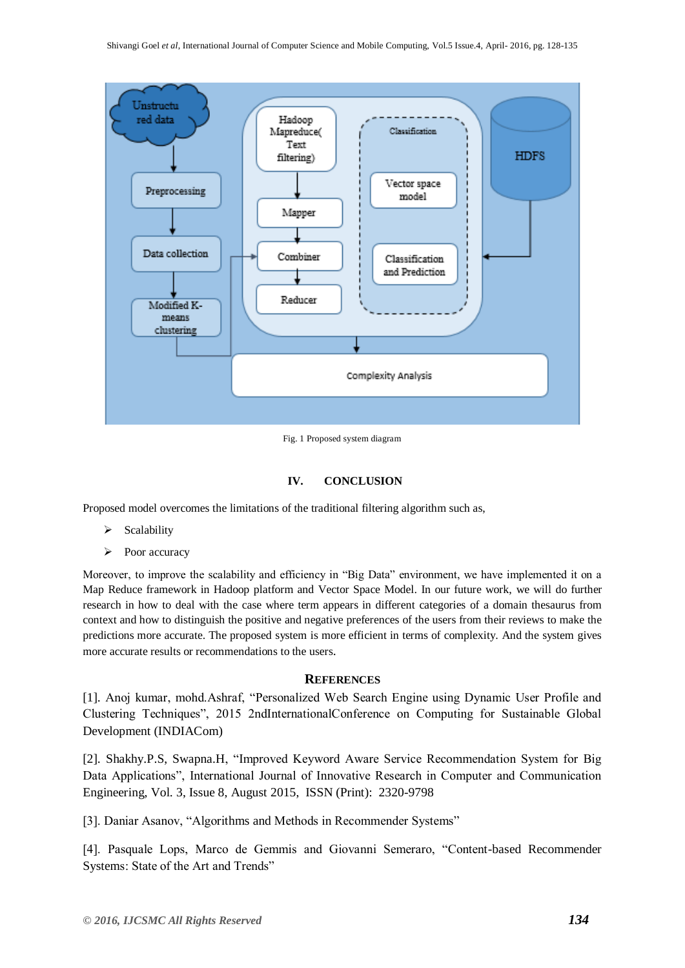

Fig. 1 Proposed system diagram

# **IV. CONCLUSION**

Proposed model overcomes the limitations of the traditional filtering algorithm such as,

- $\triangleright$  Scalability
- $\triangleright$  Poor accuracy

Moreover, to improve the scalability and efficiency in "Big Data" environment, we have implemented it on a Map Reduce framework in Hadoop platform and Vector Space Model. In our future work, we will do further research in how to deal with the case where term appears in different categories of a domain thesaurus from context and how to distinguish the positive and negative preferences of the users from their reviews to make the predictions more accurate. The proposed system is more efficient in terms of complexity. And the system gives more accurate results or recommendations to the users.

# **REFERENCES**

[1]. Anoj kumar, mohd.Ashraf, "Personalized Web Search Engine using Dynamic User Profile and Clustering Techniques", 2015 2ndInternationalConference on Computing for Sustainable Global Development (INDIACom)

[2]. Shakhy.P.S, Swapna.H, "Improved Keyword Aware Service Recommendation System for Big Data Applications", International Journal of Innovative Research in Computer and Communication Engineering, Vol. 3, Issue 8, August 2015, ISSN (Print): 2320-9798

[3]. Daniar Asanov, "Algorithms and Methods in Recommender Systems"

[4]. Pasquale Lops, Marco de Gemmis and Giovanni Semeraro, "Content-based Recommender Systems: State of the Art and Trends"